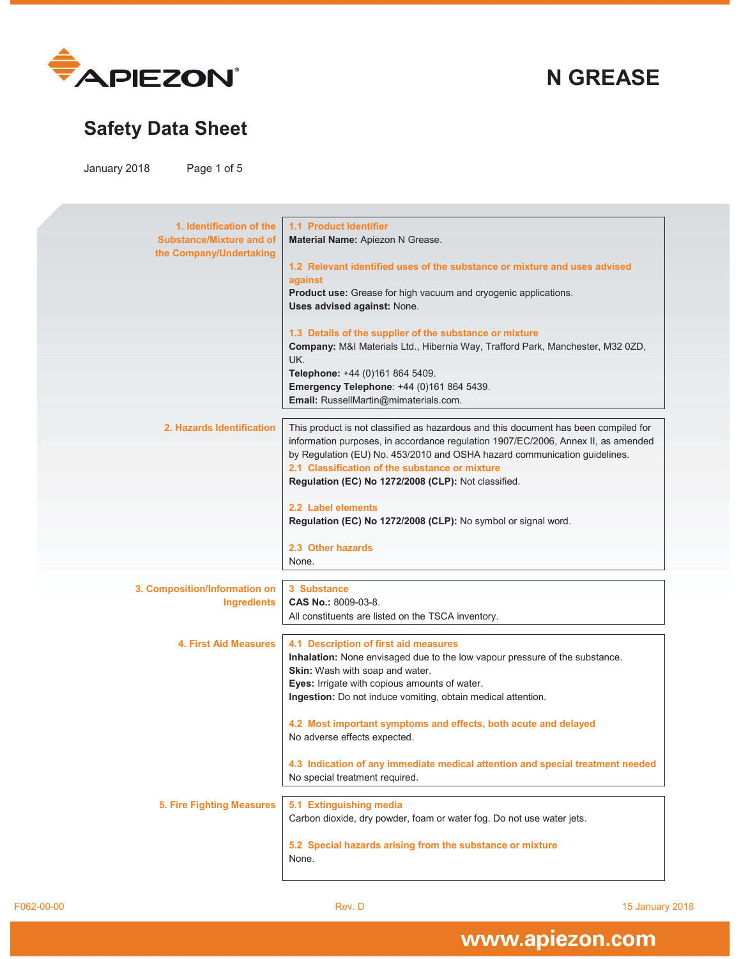

**N GREASE** 

# **Safety Data Sheet**

January 2018 Page 1 of 5

| 1. Identification of the         | 1.1 Product Identifier                                                              |
|----------------------------------|-------------------------------------------------------------------------------------|
| <b>Substance/Mixture and of</b>  | Material Name: Apiezon N Grease.                                                    |
| the Company/Undertaking          |                                                                                     |
|                                  | 1.2 Relevant identified uses of the substance or mixture and uses advised           |
|                                  | against                                                                             |
|                                  | Product use: Grease for high vacuum and cryogenic applications.                     |
|                                  | Uses advised against: None.                                                         |
|                                  |                                                                                     |
|                                  | 1.3 Details of the supplier of the substance or mixture                             |
|                                  | Company: M&I Materials Ltd., Hibernia Way, Trafford Park, Manchester, M32 0ZD,      |
|                                  | UK.                                                                                 |
|                                  | Telephone: +44 (0)161 864 5409.                                                     |
|                                  | Emergency Telephone: +44 (0)161 864 5439.                                           |
|                                  | Email: RussellMartin@mimaterials.com.                                               |
|                                  |                                                                                     |
| 2. Hazards Identification        | This product is not classified as hazardous and this document has been compiled for |
|                                  | information purposes, in accordance regulation 1907/EC/2006, Annex II, as amended   |
|                                  | by Regulation (EU) No. 453/2010 and OSHA hazard communication guidelines.           |
|                                  | 2.1 Classification of the substance or mixture                                      |
|                                  | Regulation (EC) No 1272/2008 (CLP): Not classified.                                 |
|                                  | 2.2 Label elements                                                                  |
|                                  | Regulation (EC) No 1272/2008 (CLP): No symbol or signal word.                       |
|                                  |                                                                                     |
|                                  | 2.3 Other hazards                                                                   |
|                                  | None.                                                                               |
|                                  |                                                                                     |
| 3. Composition/Information on    | 3 Substance                                                                         |
| <b>Ingredients</b>               | <b>CAS No.: 8009-03-8.</b>                                                          |
|                                  | All constituents are listed on the TSCA inventory.                                  |
|                                  |                                                                                     |
| <b>4. First Aid Measures</b>     | 4.1 Description of first aid measures                                               |
|                                  | Inhalation: None envisaged due to the low vapour pressure of the substance.         |
|                                  | Skin: Wash with soap and water.                                                     |
|                                  | Eyes: Irrigate with copious amounts of water.                                       |
|                                  | Ingestion: Do not induce vomiting, obtain medical attention.                        |
|                                  |                                                                                     |
|                                  | 4.2 Most important symptoms and effects, both acute and delayed                     |
|                                  | No adverse effects expected.                                                        |
|                                  | 4.3 Indication of any immediate medical attention and special treatment needed      |
|                                  | No special treatment required.                                                      |
|                                  |                                                                                     |
| <b>5. Fire Fighting Measures</b> | 5.1 Extinguishing media                                                             |
|                                  | Carbon dioxide, dry powder, foam or water fog. Do not use water jets.               |
|                                  |                                                                                     |
|                                  | 5.2 Special hazards arising from the substance or mixture                           |
|                                  | None.                                                                               |
|                                  |                                                                                     |
|                                  |                                                                                     |

F062-00-00 Rev. D 15 January 2018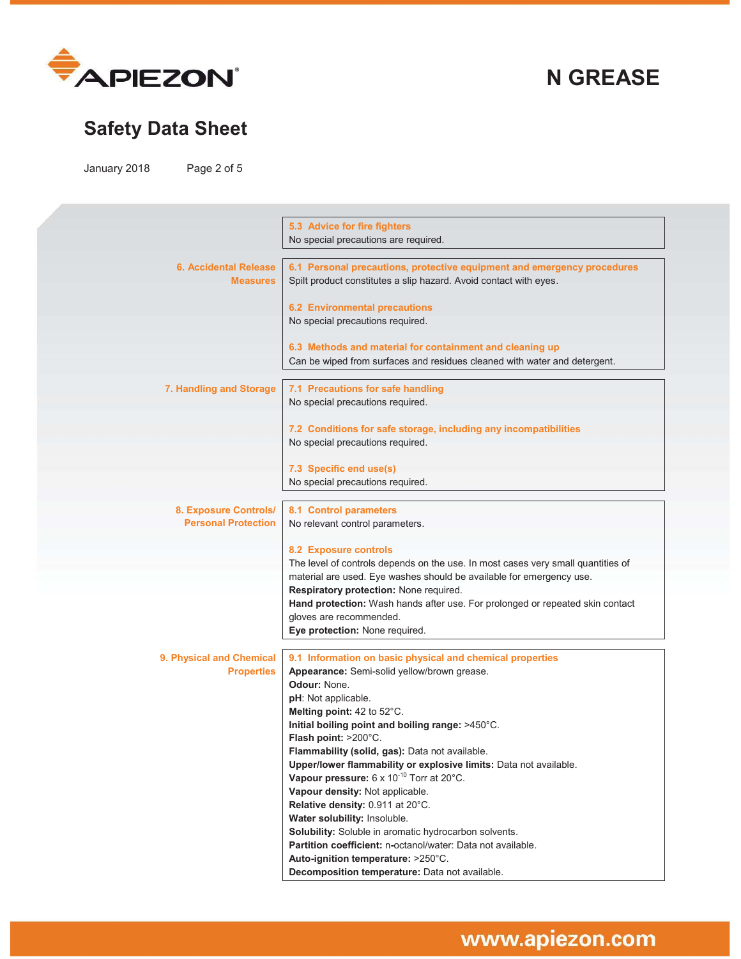

**N GREASE** 

# **Safety Data Sheet**

January 2018 Page 2 of 5

|                                                     | 5.3 Advice for fire fighters                                                                                                                 |
|-----------------------------------------------------|----------------------------------------------------------------------------------------------------------------------------------------------|
|                                                     | No special precautions are required.                                                                                                         |
| <b>6. Accidental Release</b><br><b>Measures</b>     | 6.1 Personal precautions, protective equipment and emergency procedures<br>Spilt product constitutes a slip hazard. Avoid contact with eyes. |
|                                                     | <b>6.2 Environmental precautions</b><br>No special precautions required.                                                                     |
|                                                     | 6.3 Methods and material for containment and cleaning up                                                                                     |
|                                                     | Can be wiped from surfaces and residues cleaned with water and detergent.                                                                    |
| 7. Handling and Storage                             | 7.1 Precautions for safe handling<br>No special precautions required.                                                                        |
|                                                     | 7.2 Conditions for safe storage, including any incompatibilities                                                                             |
|                                                     | No special precautions required.                                                                                                             |
|                                                     | 7.3 Specific end use(s)                                                                                                                      |
|                                                     | No special precautions required.                                                                                                             |
|                                                     |                                                                                                                                              |
| 8. Exposure Controls/<br><b>Personal Protection</b> | 8.1 Control parameters<br>No relevant control parameters.                                                                                    |
|                                                     | 8.2 Exposure controls                                                                                                                        |
|                                                     | The level of controls depends on the use. In most cases very small quantities of                                                             |
|                                                     | material are used. Eye washes should be available for emergency use.                                                                         |
|                                                     | Respiratory protection: None required.<br>Hand protection: Wash hands after use. For prolonged or repeated skin contact                      |
|                                                     | gloves are recommended.                                                                                                                      |
|                                                     | Eye protection: None required.                                                                                                               |
|                                                     |                                                                                                                                              |
| 9. Physical and Chemical                            | 9.1 Information on basic physical and chemical properties                                                                                    |
| <b>Properties</b>                                   | Appearance: Semi-solid yellow/brown grease.<br>Odour: None.                                                                                  |
|                                                     | pH: Not applicable.                                                                                                                          |
|                                                     | Melting point: 42 to 52°C.                                                                                                                   |
|                                                     | Initial boiling point and boiling range: >450°C.                                                                                             |
|                                                     | Flash point: >200°C.                                                                                                                         |
|                                                     | Flammability (solid, gas): Data not available.                                                                                               |
|                                                     | Upper/lower flammability or explosive limits: Data not available.                                                                            |
|                                                     | Vapour pressure: 6 x 10 <sup>-10</sup> Torr at 20°C.                                                                                         |
|                                                     | Vapour density: Not applicable.<br>Relative density: 0.911 at 20°C.                                                                          |
|                                                     | Water solubility: Insoluble.                                                                                                                 |
|                                                     | Solubility: Soluble in aromatic hydrocarbon solvents.                                                                                        |
|                                                     | Partition coefficient: n-octanol/water: Data not available.                                                                                  |
|                                                     | Auto-ignition temperature: >250°C.                                                                                                           |
|                                                     | Decomposition temperature: Data not available.                                                                                               |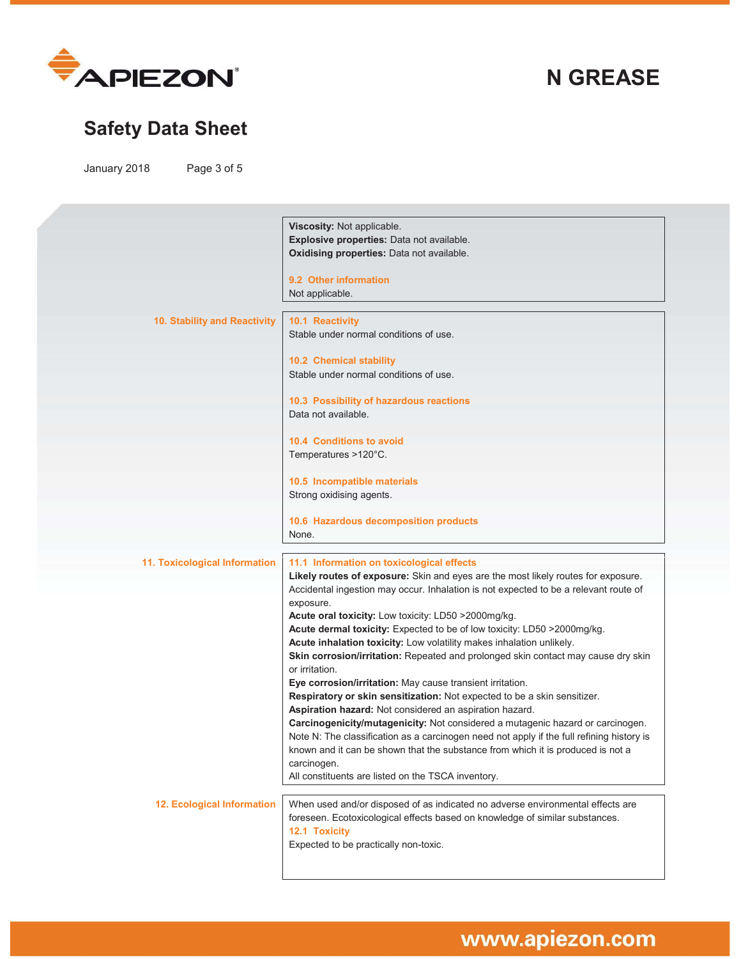

# **Safety Data Sheet**

January 2018 Page 3 of 5

|                                      | Viscosity: Not applicable.                                                                                                                                                   |
|--------------------------------------|------------------------------------------------------------------------------------------------------------------------------------------------------------------------------|
|                                      | Explosive properties: Data not available.                                                                                                                                    |
|                                      | Oxidising properties: Data not available.                                                                                                                                    |
|                                      | 9.2 Other information                                                                                                                                                        |
|                                      | Not applicable.                                                                                                                                                              |
| 10. Stability and Reactivity         | 10.1 Reactivity                                                                                                                                                              |
|                                      | Stable under normal conditions of use.                                                                                                                                       |
|                                      | 10.2 Chemical stability                                                                                                                                                      |
|                                      | Stable under normal conditions of use.                                                                                                                                       |
|                                      | 10.3 Possibility of hazardous reactions                                                                                                                                      |
|                                      | Data not available.                                                                                                                                                          |
|                                      | <b>10.4 Conditions to avoid</b>                                                                                                                                              |
|                                      | Temperatures >120°C.                                                                                                                                                         |
|                                      | 10.5 Incompatible materials                                                                                                                                                  |
|                                      | Strong oxidising agents.                                                                                                                                                     |
|                                      | 10.6 Hazardous decomposition products                                                                                                                                        |
|                                      | None.                                                                                                                                                                        |
| <b>11. Toxicological Information</b> | 11.1 Information on toxicological effects                                                                                                                                    |
|                                      | Likely routes of exposure: Skin and eyes are the most likely routes for exposure.                                                                                            |
|                                      | Accidental ingestion may occur. Inhalation is not expected to be a relevant route of<br>exposure.                                                                            |
|                                      | Acute oral toxicity: Low toxicity: LD50 >2000mg/kg.                                                                                                                          |
|                                      | Acute dermal toxicity: Expected to be of low toxicity: LD50 >2000mg/kg.                                                                                                      |
|                                      | Acute inhalation toxicity: Low volatility makes inhalation unlikely.                                                                                                         |
|                                      | Skin corrosion/irritation: Repeated and prolonged skin contact may cause dry skin<br>or irritation.                                                                          |
|                                      | Eye corrosion/irritation: May cause transient irritation.                                                                                                                    |
|                                      | Respiratory or skin sensitization: Not expected to be a skin sensitizer.                                                                                                     |
|                                      | Aspiration hazard: Not considered an aspiration hazard.                                                                                                                      |
|                                      | Carcinogenicity/mutagenicity: Not considered a mutagenic hazard or carcinogen.                                                                                               |
|                                      | Note N: The classification as a carcinogen need not apply if the full refining history is<br>known and it can be shown that the substance from which it is produced is not a |
|                                      | carcinogen.                                                                                                                                                                  |
|                                      | All constituents are listed on the TSCA inventory.                                                                                                                           |
| <b>12. Ecological Information</b>    | When used and/or disposed of as indicated no adverse environmental effects are                                                                                               |
|                                      | foreseen. Ecotoxicological effects based on knowledge of similar substances.                                                                                                 |
|                                      | 12.1 Toxicity                                                                                                                                                                |
|                                      | Expected to be practically non-toxic.                                                                                                                                        |
|                                      |                                                                                                                                                                              |
|                                      |                                                                                                                                                                              |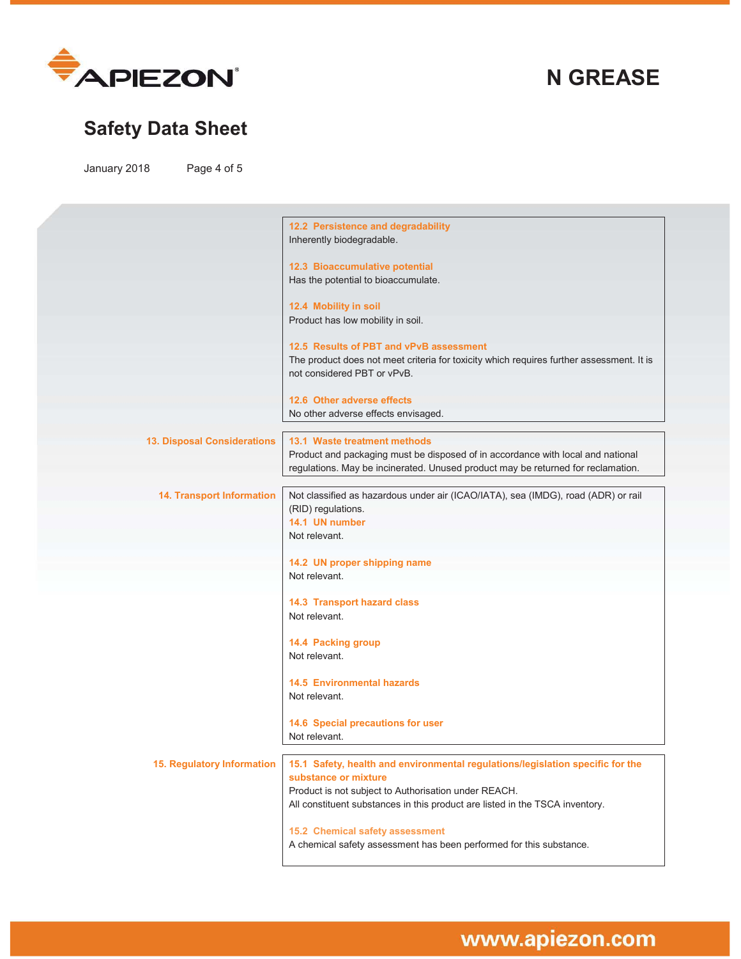

# **Safety Data Sheet**

January 2018 Page 4 of 5

|                                    | 12.2 Persistence and degradability                                                                                                                                  |
|------------------------------------|---------------------------------------------------------------------------------------------------------------------------------------------------------------------|
|                                    | Inherently biodegradable.                                                                                                                                           |
|                                    | 12.3 Bioaccumulative potential                                                                                                                                      |
|                                    | Has the potential to bioaccumulate.                                                                                                                                 |
|                                    | 12.4 Mobility in soil                                                                                                                                               |
|                                    | Product has low mobility in soil.                                                                                                                                   |
|                                    | 12.5 Results of PBT and vPvB assessment                                                                                                                             |
|                                    | The product does not meet criteria for toxicity which requires further assessment. It is                                                                            |
|                                    | not considered PBT or vPvB.                                                                                                                                         |
|                                    | 12.6 Other adverse effects                                                                                                                                          |
|                                    | No other adverse effects envisaged.                                                                                                                                 |
|                                    |                                                                                                                                                                     |
| <b>13. Disposal Considerations</b> | 13.1 Waste treatment methods                                                                                                                                        |
|                                    | Product and packaging must be disposed of in accordance with local and national<br>regulations. May be incinerated. Unused product may be returned for reclamation. |
|                                    |                                                                                                                                                                     |
| <b>14. Transport Information</b>   | Not classified as hazardous under air (ICAO/IATA), sea (IMDG), road (ADR) or rail                                                                                   |
|                                    | (RID) regulations.                                                                                                                                                  |
|                                    | 14.1 UN number<br>Not relevant.                                                                                                                                     |
|                                    |                                                                                                                                                                     |
|                                    | 14.2 UN proper shipping name                                                                                                                                        |
|                                    | Not relevant.                                                                                                                                                       |
|                                    | <b>14.3 Transport hazard class</b>                                                                                                                                  |
|                                    | Not relevant.                                                                                                                                                       |
|                                    | 14.4 Packing group                                                                                                                                                  |
|                                    | Not relevant.                                                                                                                                                       |
|                                    |                                                                                                                                                                     |
|                                    | <b>14.5 Environmental hazards</b><br>Not relevant.                                                                                                                  |
|                                    |                                                                                                                                                                     |
|                                    | 14.6 Special precautions for user                                                                                                                                   |
|                                    | Not relevant.                                                                                                                                                       |
| 15. Regulatory Information         | 15.1 Safety, health and environmental regulations/legislation specific for the                                                                                      |
|                                    | substance or mixture                                                                                                                                                |
|                                    | Product is not subject to Authorisation under REACH.                                                                                                                |
|                                    | All constituent substances in this product are listed in the TSCA inventory.                                                                                        |
|                                    | 15.2 Chemical safety assessment                                                                                                                                     |
|                                    | A chemical safety assessment has been performed for this substance.                                                                                                 |
|                                    |                                                                                                                                                                     |